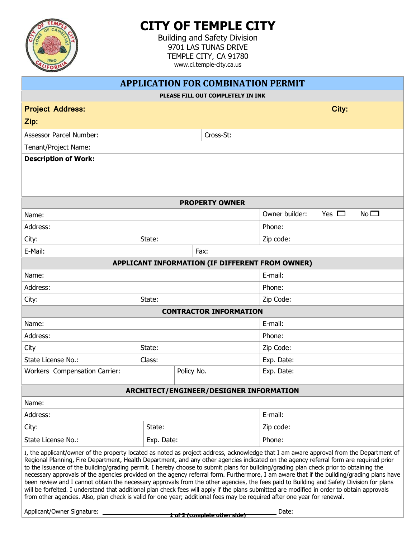

## **CITY OF TEMPLE CITY**

Building and Safety Division 9701 LAS TUNAS DRIVE TEMPLE CITY, CA 91780 www.ci.temple-city.ca.us

| <b>APPLICATION FOR COMBINATION PERMIT</b>                                                                                                                                                                                                                                                                                                                                                                                                                                                                                                                                                                                                                                                                                                                                                                                                                                                                                                                                                                                                         |                |            |                               |           |       |  |
|---------------------------------------------------------------------------------------------------------------------------------------------------------------------------------------------------------------------------------------------------------------------------------------------------------------------------------------------------------------------------------------------------------------------------------------------------------------------------------------------------------------------------------------------------------------------------------------------------------------------------------------------------------------------------------------------------------------------------------------------------------------------------------------------------------------------------------------------------------------------------------------------------------------------------------------------------------------------------------------------------------------------------------------------------|----------------|------------|-------------------------------|-----------|-------|--|
| PLEASE FILL OUT COMPLETELY IN INK                                                                                                                                                                                                                                                                                                                                                                                                                                                                                                                                                                                                                                                                                                                                                                                                                                                                                                                                                                                                                 |                |            |                               |           |       |  |
| <b>Project Address:</b>                                                                                                                                                                                                                                                                                                                                                                                                                                                                                                                                                                                                                                                                                                                                                                                                                                                                                                                                                                                                                           |                |            |                               |           | City: |  |
| Zip:                                                                                                                                                                                                                                                                                                                                                                                                                                                                                                                                                                                                                                                                                                                                                                                                                                                                                                                                                                                                                                              |                |            |                               |           |       |  |
| <b>Assessor Parcel Number:</b>                                                                                                                                                                                                                                                                                                                                                                                                                                                                                                                                                                                                                                                                                                                                                                                                                                                                                                                                                                                                                    |                |            | Cross-St:                     |           |       |  |
| Tenant/Project Name:                                                                                                                                                                                                                                                                                                                                                                                                                                                                                                                                                                                                                                                                                                                                                                                                                                                                                                                                                                                                                              |                |            |                               |           |       |  |
| <b>Description of Work:</b>                                                                                                                                                                                                                                                                                                                                                                                                                                                                                                                                                                                                                                                                                                                                                                                                                                                                                                                                                                                                                       |                |            |                               |           |       |  |
|                                                                                                                                                                                                                                                                                                                                                                                                                                                                                                                                                                                                                                                                                                                                                                                                                                                                                                                                                                                                                                                   |                |            |                               |           |       |  |
|                                                                                                                                                                                                                                                                                                                                                                                                                                                                                                                                                                                                                                                                                                                                                                                                                                                                                                                                                                                                                                                   |                |            |                               |           |       |  |
| <b>PROPERTY OWNER</b>                                                                                                                                                                                                                                                                                                                                                                                                                                                                                                                                                                                                                                                                                                                                                                                                                                                                                                                                                                                                                             |                |            |                               |           |       |  |
|                                                                                                                                                                                                                                                                                                                                                                                                                                                                                                                                                                                                                                                                                                                                                                                                                                                                                                                                                                                                                                                   | Owner builder: | Yes $\Box$ | No <sub>1</sub>               |           |       |  |
| Name:<br>Address:                                                                                                                                                                                                                                                                                                                                                                                                                                                                                                                                                                                                                                                                                                                                                                                                                                                                                                                                                                                                                                 |                |            |                               | Phone:    |       |  |
| City:                                                                                                                                                                                                                                                                                                                                                                                                                                                                                                                                                                                                                                                                                                                                                                                                                                                                                                                                                                                                                                             | State:         |            |                               | Zip code: |       |  |
| E-Mail:                                                                                                                                                                                                                                                                                                                                                                                                                                                                                                                                                                                                                                                                                                                                                                                                                                                                                                                                                                                                                                           |                |            |                               |           |       |  |
| Fax:<br>APPLICANT INFORMATION (IF DIFFERENT FROM OWNER)                                                                                                                                                                                                                                                                                                                                                                                                                                                                                                                                                                                                                                                                                                                                                                                                                                                                                                                                                                                           |                |            |                               |           |       |  |
| E-mail:<br>Name:                                                                                                                                                                                                                                                                                                                                                                                                                                                                                                                                                                                                                                                                                                                                                                                                                                                                                                                                                                                                                                  |                |            |                               |           |       |  |
| Address:                                                                                                                                                                                                                                                                                                                                                                                                                                                                                                                                                                                                                                                                                                                                                                                                                                                                                                                                                                                                                                          |                |            |                               | Phone:    |       |  |
| City:                                                                                                                                                                                                                                                                                                                                                                                                                                                                                                                                                                                                                                                                                                                                                                                                                                                                                                                                                                                                                                             | State:         |            |                               | Zip Code: |       |  |
|                                                                                                                                                                                                                                                                                                                                                                                                                                                                                                                                                                                                                                                                                                                                                                                                                                                                                                                                                                                                                                                   |                |            | <b>CONTRACTOR INFORMATION</b> |           |       |  |
| Name:                                                                                                                                                                                                                                                                                                                                                                                                                                                                                                                                                                                                                                                                                                                                                                                                                                                                                                                                                                                                                                             |                |            |                               | E-mail:   |       |  |
| Address:                                                                                                                                                                                                                                                                                                                                                                                                                                                                                                                                                                                                                                                                                                                                                                                                                                                                                                                                                                                                                                          |                |            | Phone:                        |           |       |  |
| City                                                                                                                                                                                                                                                                                                                                                                                                                                                                                                                                                                                                                                                                                                                                                                                                                                                                                                                                                                                                                                              | State:         |            |                               | Zip Code: |       |  |
| State License No.:                                                                                                                                                                                                                                                                                                                                                                                                                                                                                                                                                                                                                                                                                                                                                                                                                                                                                                                                                                                                                                | Class:         |            | Exp. Date:                    |           |       |  |
| Workers Compensation Carrier:                                                                                                                                                                                                                                                                                                                                                                                                                                                                                                                                                                                                                                                                                                                                                                                                                                                                                                                                                                                                                     | Policy No.     |            | Exp. Date:                    |           |       |  |
|                                                                                                                                                                                                                                                                                                                                                                                                                                                                                                                                                                                                                                                                                                                                                                                                                                                                                                                                                                                                                                                   |                |            |                               |           |       |  |
| <b>ARCHITECT/ENGINEER/DESIGNER INFORMATION</b>                                                                                                                                                                                                                                                                                                                                                                                                                                                                                                                                                                                                                                                                                                                                                                                                                                                                                                                                                                                                    |                |            |                               |           |       |  |
| Name:                                                                                                                                                                                                                                                                                                                                                                                                                                                                                                                                                                                                                                                                                                                                                                                                                                                                                                                                                                                                                                             |                |            |                               |           |       |  |
| Address:                                                                                                                                                                                                                                                                                                                                                                                                                                                                                                                                                                                                                                                                                                                                                                                                                                                                                                                                                                                                                                          |                |            |                               | E-mail:   |       |  |
| City:                                                                                                                                                                                                                                                                                                                                                                                                                                                                                                                                                                                                                                                                                                                                                                                                                                                                                                                                                                                                                                             | State:         |            |                               | Zip code: |       |  |
| State License No.:                                                                                                                                                                                                                                                                                                                                                                                                                                                                                                                                                                                                                                                                                                                                                                                                                                                                                                                                                                                                                                | Exp. Date:     |            |                               | Phone:    |       |  |
| I, the applicant/owner of the property located as noted as project address, acknowledge that I am aware approval from the Department of<br>Regional Planning, Fire Department, Health Department, and any other agencies indicated on the agency referral form are required prior<br>to the issuance of the building/grading permit. I hereby choose to submit plans for building/grading plan check prior to obtaining the<br>necessary approvals of the agencies provided on the agency referral form. Furthermore, I am aware that if the building/grading plans have<br>been review and I cannot obtain the necessary approvals from the other agencies, the fees paid to Building and Safety Division for plans<br>will be forfeited. I understand that additional plan check fees will apply if the plans submitted are modified in order to obtain approvals<br>from other agencies. Also, plan check is valid for one year; additional fees may be required after one year for renewal.<br>Applicant/Owner Signature: __________<br>Date: |                |            |                               |           |       |  |
|                                                                                                                                                                                                                                                                                                                                                                                                                                                                                                                                                                                                                                                                                                                                                                                                                                                                                                                                                                                                                                                   |                |            | 1 of 2 (complete other side)  |           |       |  |